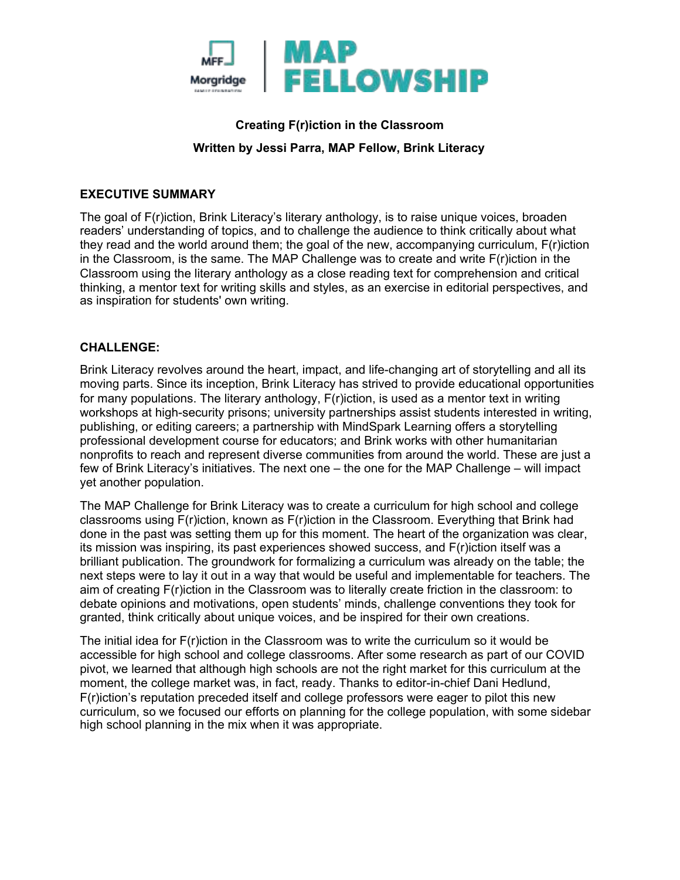

# **Creating F(r)iction in the Classroom Written by Jessi Parra, MAP Fellow, Brink Literacy**

#### **EXECUTIVE SUMMARY**

The goal of F(r)iction, Brink Literacy's literary anthology, is to raise unique voices, broaden readers' understanding of topics, and to challenge the audience to think critically about what they read and the world around them; the goal of the new, accompanying curriculum, F(r)iction in the Classroom, is the same. The MAP Challenge was to create and write  $F(r)$ iction in the Classroom using the literary anthology as a close reading text for comprehension and critical thinking, a mentor text for writing skills and styles, as an exercise in editorial perspectives, and as inspiration for students' own writing.

#### **CHALLENGE:**

Brink Literacy revolves around the heart, impact, and life-changing art of storytelling and all its moving parts. Since its inception, Brink Literacy has strived to provide educational opportunities for many populations. The literary anthology, F(r)iction, is used as a mentor text in writing workshops at high-security prisons; university partnerships assist students interested in writing, publishing, or editing careers; a partnership with MindSpark Learning offers a storytelling professional development course for educators; and Brink works with other humanitarian nonprofits to reach and represent diverse communities from around the world. These are just a few of Brink Literacy's initiatives. The next one – the one for the MAP Challenge – will impact yet another population.

The MAP Challenge for Brink Literacy was to create a curriculum for high school and college classrooms using F(r)iction, known as F(r)iction in the Classroom. Everything that Brink had done in the past was setting them up for this moment. The heart of the organization was clear, its mission was inspiring, its past experiences showed success, and F(r)iction itself was a brilliant publication. The groundwork for formalizing a curriculum was already on the table; the next steps were to lay it out in a way that would be useful and implementable for teachers. The aim of creating F(r)iction in the Classroom was to literally create friction in the classroom: to debate opinions and motivations, open students' minds, challenge conventions they took for granted, think critically about unique voices, and be inspired for their own creations.

The initial idea for F(r)iction in the Classroom was to write the curriculum so it would be accessible for high school and college classrooms. After some research as part of our COVID pivot, we learned that although high schools are not the right market for this curriculum at the moment, the college market was, in fact, ready. Thanks to editor-in-chief Dani Hedlund, F(r)iction's reputation preceded itself and college professors were eager to pilot this new curriculum, so we focused our efforts on planning for the college population, with some sidebar high school planning in the mix when it was appropriate.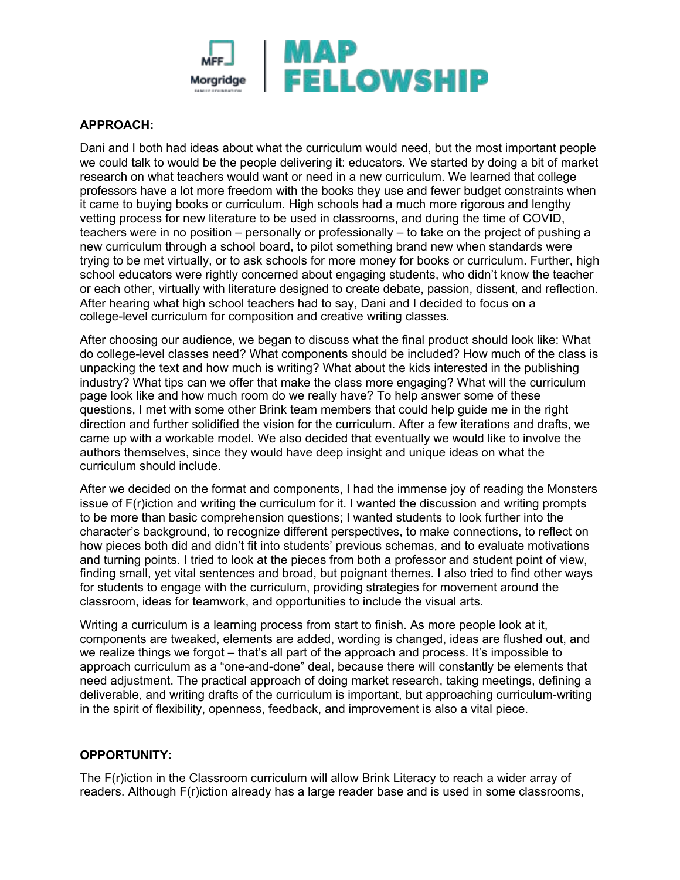

### **APPROACH:**

Dani and I both had ideas about what the curriculum would need, but the most important people we could talk to would be the people delivering it: educators. We started by doing a bit of market research on what teachers would want or need in a new curriculum. We learned that college professors have a lot more freedom with the books they use and fewer budget constraints when it came to buying books or curriculum. High schools had a much more rigorous and lengthy vetting process for new literature to be used in classrooms, and during the time of COVID, teachers were in no position – personally or professionally – to take on the project of pushing a new curriculum through a school board, to pilot something brand new when standards were trying to be met virtually, or to ask schools for more money for books or curriculum. Further, high school educators were rightly concerned about engaging students, who didn't know the teacher or each other, virtually with literature designed to create debate, passion, dissent, and reflection. After hearing what high school teachers had to say, Dani and I decided to focus on a college-level curriculum for composition and creative writing classes.

After choosing our audience, we began to discuss what the final product should look like: What do college-level classes need? What components should be included? How much of the class is unpacking the text and how much is writing? What about the kids interested in the publishing industry? What tips can we offer that make the class more engaging? What will the curriculum page look like and how much room do we really have? To help answer some of these questions, I met with some other Brink team members that could help guide me in the right direction and further solidified the vision for the curriculum. After a few iterations and drafts, we came up with a workable model. We also decided that eventually we would like to involve the authors themselves, since they would have deep insight and unique ideas on what the curriculum should include.

After we decided on the format and components, I had the immense joy of reading the Monsters issue of F(r)iction and writing the curriculum for it. I wanted the discussion and writing prompts to be more than basic comprehension questions; I wanted students to look further into the character's background, to recognize different perspectives, to make connections, to reflect on how pieces both did and didn't fit into students' previous schemas, and to evaluate motivations and turning points. I tried to look at the pieces from both a professor and student point of view, finding small, yet vital sentences and broad, but poignant themes. I also tried to find other ways for students to engage with the curriculum, providing strategies for movement around the classroom, ideas for teamwork, and opportunities to include the visual arts.

Writing a curriculum is a learning process from start to finish. As more people look at it, components are tweaked, elements are added, wording is changed, ideas are flushed out, and we realize things we forgot – that's all part of the approach and process. It's impossible to approach curriculum as a "one-and-done" deal, because there will constantly be elements that need adjustment. The practical approach of doing market research, taking meetings, defining a deliverable, and writing drafts of the curriculum is important, but approaching curriculum-writing in the spirit of flexibility, openness, feedback, and improvement is also a vital piece.

## **OPPORTUNITY:**

The F(r)iction in the Classroom curriculum will allow Brink Literacy to reach a wider array of readers. Although F(r)iction already has a large reader base and is used in some classrooms,